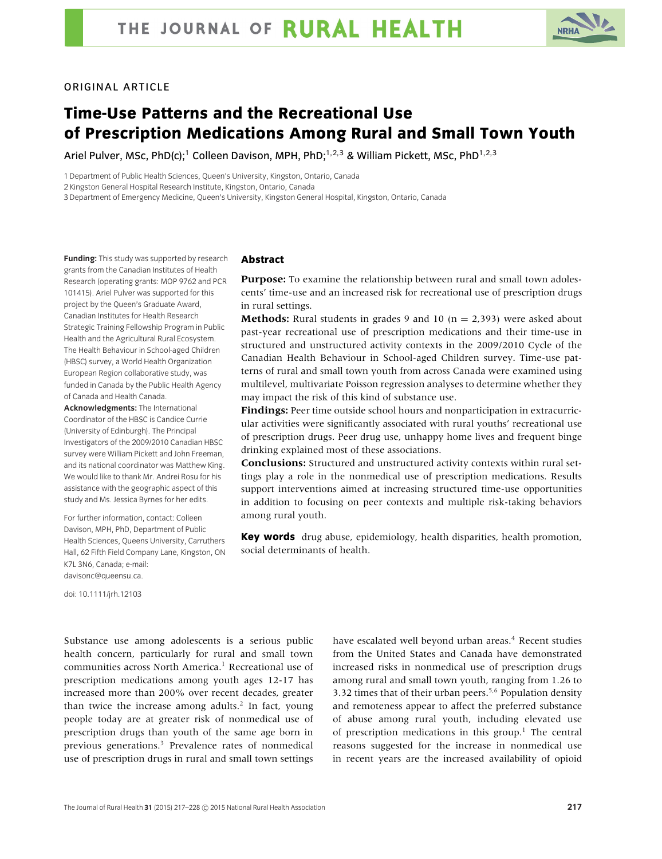

# ORIGINAL ARTICLE

# **Time-Use Patterns and the Recreational Use of Prescription Medications Among Rural and Small Town Youth**

Ariel Pulver, MSc, PhD(c);<sup>1</sup> Colleen Davison, MPH, PhD;<sup>1,2,3</sup> & William Pickett, MSc, PhD<sup>1,2,3</sup>

1 Department of Public Health Sciences, Queen's University, Kingston, Ontario, Canada

2 Kingston General Hospital Research Institute, Kingston, Ontario, Canada

3 Department of Emergency Medicine, Queen's University, Kingston General Hospital, Kingston, Ontario, Canada

**Funding:** This study was supported by research grants from the Canadian Institutes of Health Research (operating grants: MOP 9762 and PCR 101415). Ariel Pulver was supported for this project by the Queen's Graduate Award, Canadian Institutes for Health Research Strategic Training Fellowship Program in Public Health and the Agricultural Rural Ecosystem. The Health Behaviour in School-aged Children (HBSC) survey, a World Health Organization European Region collaborative study, was funded in Canada by the Public Health Agency of Canada and Health Canada.

**Acknowledgments:** The International Coordinator of the HBSC is Candice Currie (University of Edinburgh). The Principal Investigators of the 2009/2010 Canadian HBSC survey were William Pickett and John Freeman, and its national coordinator was Matthew King. We would like to thank Mr. Andrei Rosu for his assistance with the geographic aspect of this study and Ms. Jessica Byrnes for her edits.

For further information, contact: Colleen Davison, MPH, PhD, Department of Public Health Sciences, Queens University, Carruthers Hall, 62 Fifth Field Company Lane, Kingston, ON K7L 3N6, Canada; e-mail: davisonc@queensu.ca.

doi: 10.1111/jrh.12103

### **Abstract**

**Purpose:** To examine the relationship between rural and small town adolescents' time-use and an increased risk for recreational use of prescription drugs in rural settings.

**Methods:** Rural students in grades 9 and 10 ( $n = 2,393$ ) were asked about past-year recreational use of prescription medications and their time-use in structured and unstructured activity contexts in the 2009/2010 Cycle of the Canadian Health Behaviour in School-aged Children survey. Time-use patterns of rural and small town youth from across Canada were examined using multilevel, multivariate Poisson regression analyses to determine whether they may impact the risk of this kind of substance use.

**Findings:** Peer time outside school hours and nonparticipation in extracurricular activities were significantly associated with rural youths' recreational use of prescription drugs. Peer drug use, unhappy home lives and frequent binge drinking explained most of these associations.

**Conclusions:** Structured and unstructured activity contexts within rural settings play a role in the nonmedical use of prescription medications. Results support interventions aimed at increasing structured time-use opportunities in addition to focusing on peer contexts and multiple risk-taking behaviors among rural youth.

**Key words** drug abuse, epidemiology, health disparities, health promotion, social determinants of health.

Substance use among adolescents is a serious public health concern, particularly for rural and small town communities across North America.<sup>1</sup> Recreational use of prescription medications among youth ages 12-17 has increased more than 200% over recent decades, greater than twice the increase among adults.<sup>2</sup> In fact, young people today are at greater risk of nonmedical use of prescription drugs than youth of the same age born in previous generations.<sup>3</sup> Prevalence rates of nonmedical use of prescription drugs in rural and small town settings have escalated well beyond urban areas.<sup>4</sup> Recent studies from the United States and Canada have demonstrated increased risks in nonmedical use of prescription drugs among rural and small town youth, ranging from 1.26 to 3.32 times that of their urban peers.<sup>5,6</sup> Population density and remoteness appear to affect the preferred substance of abuse among rural youth, including elevated use of prescription medications in this group.<sup>1</sup> The central reasons suggested for the increase in nonmedical use in recent years are the increased availability of opioid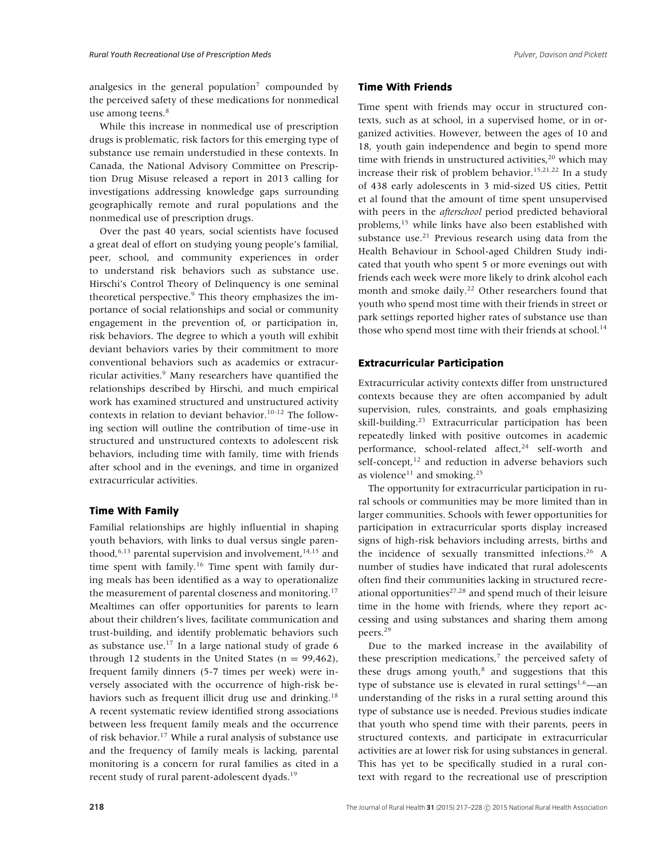analgesics in the general population<sup>7</sup> compounded by the perceived safety of these medications for nonmedical use among teens.<sup>8</sup>

While this increase in nonmedical use of prescription drugs is problematic, risk factors for this emerging type of substance use remain understudied in these contexts. In Canada, the National Advisory Committee on Prescription Drug Misuse released a report in 2013 calling for investigations addressing knowledge gaps surrounding geographically remote and rural populations and the nonmedical use of prescription drugs.

Over the past 40 years, social scientists have focused a great deal of effort on studying young people's familial, peer, school, and community experiences in order to understand risk behaviors such as substance use. Hirschi's Control Theory of Delinquency is one seminal theoretical perspective.<sup>9</sup> This theory emphasizes the importance of social relationships and social or community engagement in the prevention of, or participation in, risk behaviors. The degree to which a youth will exhibit deviant behaviors varies by their commitment to more conventional behaviors such as academics or extracurricular activities.<sup>9</sup> Many researchers have quantified the relationships described by Hirschi, and much empirical work has examined structured and unstructured activity contexts in relation to deviant behavior.<sup>10-12</sup> The following section will outline the contribution of time-use in structured and unstructured contexts to adolescent risk behaviors, including time with family, time with friends after school and in the evenings, and time in organized extracurricular activities.

### **Time With Family**

Familial relationships are highly influential in shaping youth behaviors, with links to dual versus single parenthood,  $6,13$  parental supervision and involvement,  $14,15$  and time spent with family.<sup>16</sup> Time spent with family during meals has been identified as a way to operationalize the measurement of parental closeness and monitoring.<sup>17</sup> Mealtimes can offer opportunities for parents to learn about their children's lives, facilitate communication and trust-building, and identify problematic behaviors such as substance use.<sup>17</sup> In a large national study of grade  $6$ through 12 students in the United States ( $n = 99,462$ ), frequent family dinners (5-7 times per week) were inversely associated with the occurrence of high-risk behaviors such as frequent illicit drug use and drinking.<sup>18</sup> A recent systematic review identified strong associations between less frequent family meals and the occurrence of risk behavior.17 While a rural analysis of substance use and the frequency of family meals is lacking, parental monitoring is a concern for rural families as cited in a recent study of rural parent-adolescent dyads.<sup>19</sup>

# **Time With Friends**

Time spent with friends may occur in structured contexts, such as at school, in a supervised home, or in organized activities. However, between the ages of 10 and 18, youth gain independence and begin to spend more time with friends in unstructured activities, $20$  which may increase their risk of problem behavior.<sup>15,21,22</sup> In a study of 438 early adolescents in 3 mid-sized US cities, Pettit et al found that the amount of time spent unsupervised with peers in the *afterschool* period predicted behavioral problems,<sup>15</sup> while links have also been established with substance use.<sup>21</sup> Previous research using data from the Health Behaviour in School-aged Children Study indicated that youth who spent 5 or more evenings out with friends each week were more likely to drink alcohol each month and smoke daily.<sup>22</sup> Other researchers found that youth who spend most time with their friends in street or park settings reported higher rates of substance use than those who spend most time with their friends at school.<sup>14</sup>

## **Extracurricular Participation**

Extracurricular activity contexts differ from unstructured contexts because they are often accompanied by adult supervision, rules, constraints, and goals emphasizing skill-building.<sup>23</sup> Extracurricular participation has been repeatedly linked with positive outcomes in academic performance, school-related affect,<sup>24</sup> self-worth and self-concept, $12$  and reduction in adverse behaviors such as violence<sup>11</sup> and smoking.<sup>25</sup>

The opportunity for extracurricular participation in rural schools or communities may be more limited than in larger communities. Schools with fewer opportunities for participation in extracurricular sports display increased signs of high-risk behaviors including arrests, births and the incidence of sexually transmitted infections.<sup>26</sup> A number of studies have indicated that rural adolescents often find their communities lacking in structured recreational opportunities<sup> $27,28$ </sup> and spend much of their leisure time in the home with friends, where they report accessing and using substances and sharing them among peers.29

Due to the marked increase in the availability of these prescription medications, $7$  the perceived safety of these drugs among youth, $8$  and suggestions that this type of substance use is elevated in rural settings<sup>1,6</sup>—an understanding of the risks in a rural setting around this type of substance use is needed. Previous studies indicate that youth who spend time with their parents, peers in structured contexts, and participate in extracurricular activities are at lower risk for using substances in general. This has yet to be specifically studied in a rural context with regard to the recreational use of prescription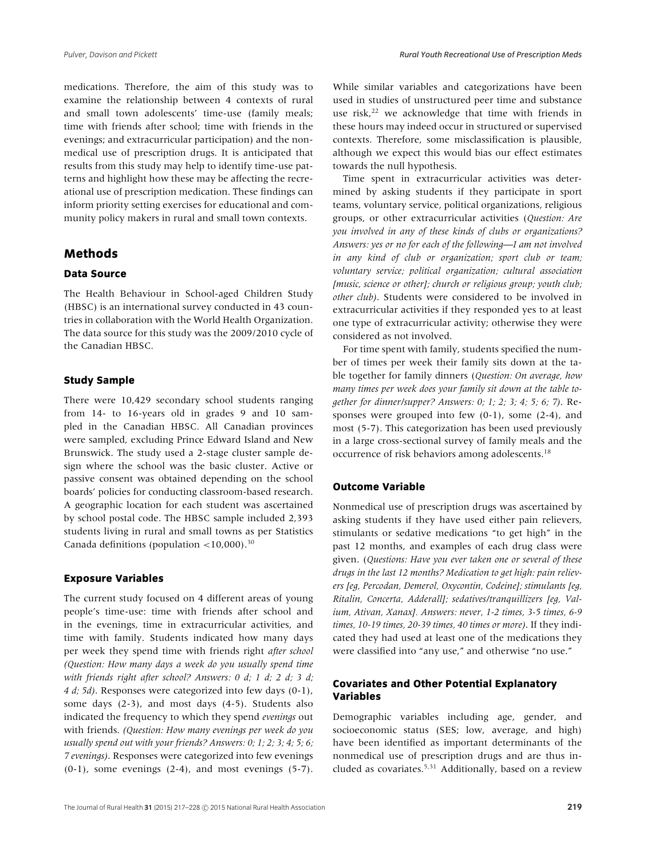medications. Therefore, the aim of this study was to examine the relationship between 4 contexts of rural and small town adolescents' time-use (family meals; time with friends after school; time with friends in the evenings; and extracurricular participation) and the nonmedical use of prescription drugs. It is anticipated that results from this study may help to identify time-use patterns and highlight how these may be affecting the recreational use of prescription medication. These findings can inform priority setting exercises for educational and community policy makers in rural and small town contexts.

# **Methods**

# **Data Source**

The Health Behaviour in School-aged Children Study (HBSC) is an international survey conducted in 43 countries in collaboration with the World Health Organization. The data source for this study was the 2009/2010 cycle of the Canadian HBSC.

# **Study Sample**

There were 10,429 secondary school students ranging from 14- to 16-years old in grades 9 and 10 sampled in the Canadian HBSC. All Canadian provinces were sampled, excluding Prince Edward Island and New Brunswick. The study used a 2-stage cluster sample design where the school was the basic cluster. Active or passive consent was obtained depending on the school boards' policies for conducting classroom-based research. A geographic location for each student was ascertained by school postal code. The HBSC sample included 2,393 students living in rural and small towns as per Statistics Canada definitions (population *<*10,000).30

# **Exposure Variables**

The current study focused on 4 different areas of young people's time-use: time with friends after school and in the evenings, time in extracurricular activities, and time with family. Students indicated how many days per week they spend time with friends right *after school (Question: How many days a week do you usually spend time with friends right after school? Answers: 0 d; 1 d; 2 d; 3 d; 4 d; 5d)*. Responses were categorized into few days (0-1), some days (2-3), and most days (4-5). Students also indicated the frequency to which they spend *evenings* out with friends. *(Question: How many evenings per week do you usually spend out with your friends? Answers: 0; 1; 2; 3; 4; 5; 6; 7 evenings)*. Responses were categorized into few evenings  $(0-1)$ , some evenings  $(2-4)$ , and most evenings  $(5-7)$ .

While similar variables and categorizations have been used in studies of unstructured peer time and substance use risk, $22$  we acknowledge that time with friends in these hours may indeed occur in structured or supervised contexts. Therefore, some misclassification is plausible, although we expect this would bias our effect estimates towards the null hypothesis.

Time spent in extracurricular activities was determined by asking students if they participate in sport teams, voluntary service, political organizations, religious groups, or other extracurricular activities (*Question: Are you involved in any of these kinds of clubs or organizations? Answers: yes or no for each of the following—I am not involved in any kind of club or organization; sport club or team; voluntary service; political organization; cultural association [music, science or other]; church or religious group; youth club; other club)*. Students were considered to be involved in extracurricular activities if they responded yes to at least one type of extracurricular activity; otherwise they were considered as not involved.

For time spent with family, students specified the number of times per week their family sits down at the table together for family dinners (*Question: On average, how many times per week does your family sit down at the table together for dinner/supper? Answers: 0; 1; 2; 3; 4; 5; 6; 7)*. Responses were grouped into few (0-1), some (2-4), and most (5-7). This categorization has been used previously in a large cross-sectional survey of family meals and the occurrence of risk behaviors among adolescents.<sup>18</sup>

# **Outcome Variable**

Nonmedical use of prescription drugs was ascertained by asking students if they have used either pain relievers, stimulants or sedative medications "to get high" in the past 12 months, and examples of each drug class were given. (*Questions: Have you ever taken one or several of these drugs in the last 12 months? Medication to get high: pain relievers [eg, Percodan, Demerol, Oxycontin, Codeine]; stimulants [eg, Ritalin, Concerta, Adderall]; sedatives/tranquillizers [eg, Valium, Ativan, Xanax]. Answers: never, 1-2 times, 3-5 times, 6-9 times, 10-19 times, 20-39 times, 40 times or more)*. If they indicated they had used at least one of the medications they were classified into "any use," and otherwise "no use."

# **Covariates and Other Potential Explanatory Variables**

Demographic variables including age, gender, and socioeconomic status (SES; low, average, and high) have been identified as important determinants of the nonmedical use of prescription drugs and are thus included as covariates.<sup>5,31</sup> Additionally, based on a review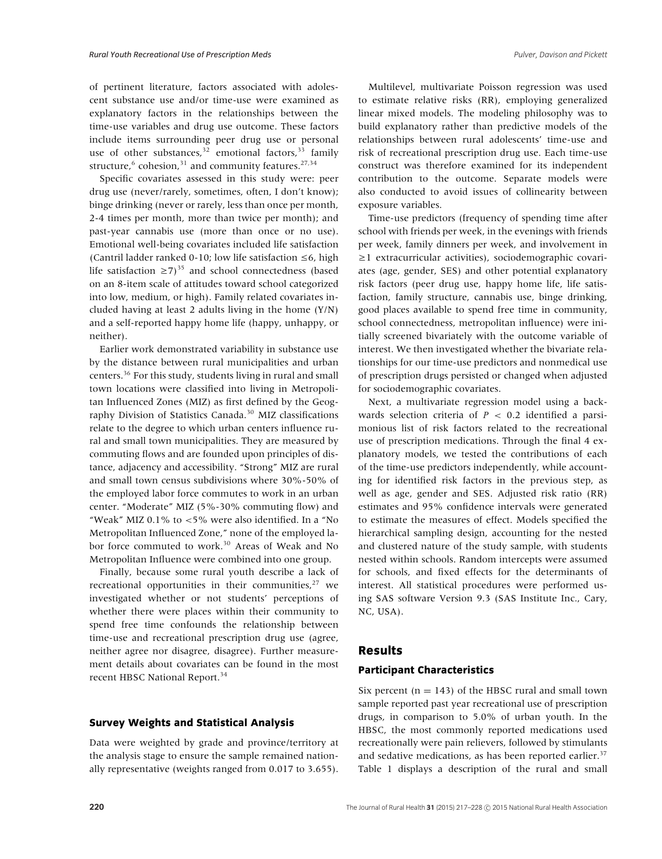of pertinent literature, factors associated with adolescent substance use and/or time-use were examined as explanatory factors in the relationships between the time-use variables and drug use outcome. These factors include items surrounding peer drug use or personal use of other substances,  $32$  emotional factors,  $33$  family structure, $^6$  cohesion, $^{31}$  and community features. $^{27,34}$ 

Specific covariates assessed in this study were: peer drug use (never/rarely, sometimes, often, I don't know); binge drinking (never or rarely, less than once per month, 2-4 times per month, more than twice per month); and past-year cannabis use (more than once or no use). Emotional well-being covariates included life satisfaction (Cantril ladder ranked 0-10; low life satisfaction  $\leq 6$ , high life satisfaction  $\geq 7$ <sup>35</sup> and school connectedness (based on an 8-item scale of attitudes toward school categorized into low, medium, or high). Family related covariates included having at least 2 adults living in the home (Y/N) and a self-reported happy home life (happy, unhappy, or neither).

Earlier work demonstrated variability in substance use by the distance between rural municipalities and urban centers.36 For this study, students living in rural and small town locations were classified into living in Metropolitan Influenced Zones (MIZ) as first defined by the Geography Division of Statistics Canada.<sup>30</sup> MIZ classifications relate to the degree to which urban centers influence rural and small town municipalities. They are measured by commuting flows and are founded upon principles of distance, adjacency and accessibility. "Strong" MIZ are rural and small town census subdivisions where 30%-50% of the employed labor force commutes to work in an urban center. "Moderate" MIZ (5%-30% commuting flow) and "Weak" MIZ 0.1% to *<*5% were also identified. In a "No Metropolitan Influenced Zone," none of the employed labor force commuted to work.<sup>30</sup> Areas of Weak and No Metropolitan Influence were combined into one group.

Finally, because some rural youth describe a lack of recreational opportunities in their communities, $27$  we investigated whether or not students' perceptions of whether there were places within their community to spend free time confounds the relationship between time-use and recreational prescription drug use (agree, neither agree nor disagree, disagree). Further measurement details about covariates can be found in the most recent HBSC National Report.<sup>34</sup>

#### **Survey Weights and Statistical Analysis**

Data were weighted by grade and province/territory at the analysis stage to ensure the sample remained nationally representative (weights ranged from 0.017 to 3.655).

Multilevel, multivariate Poisson regression was used to estimate relative risks (RR), employing generalized linear mixed models. The modeling philosophy was to build explanatory rather than predictive models of the relationships between rural adolescents' time-use and risk of recreational prescription drug use. Each time-use construct was therefore examined for its independent contribution to the outcome. Separate models were also conducted to avoid issues of collinearity between exposure variables.

Time-use predictors (frequency of spending time after school with friends per week, in the evenings with friends per week, family dinners per week, and involvement in  $\geq$ 1 extracurricular activities), sociodemographic covariates (age, gender, SES) and other potential explanatory risk factors (peer drug use, happy home life, life satisfaction, family structure, cannabis use, binge drinking, good places available to spend free time in community, school connectedness, metropolitan influence) were initially screened bivariately with the outcome variable of interest. We then investigated whether the bivariate relationships for our time-use predictors and nonmedical use of prescription drugs persisted or changed when adjusted for sociodemographic covariates.

Next, a multivariate regression model using a backwards selection criteria of *P <* 0.2 identified a parsimonious list of risk factors related to the recreational use of prescription medications. Through the final 4 explanatory models, we tested the contributions of each of the time-use predictors independently, while accounting for identified risk factors in the previous step, as well as age, gender and SES. Adjusted risk ratio (RR) estimates and 95% confidence intervals were generated to estimate the measures of effect. Models specified the hierarchical sampling design, accounting for the nested and clustered nature of the study sample, with students nested within schools. Random intercepts were assumed for schools, and fixed effects for the determinants of interest. All statistical procedures were performed using SAS software Version 9.3 (SAS Institute Inc., Cary, NC, USA).

## **Results**

# **Participant Characteristics**

Six percent ( $n = 143$ ) of the HBSC rural and small town sample reported past year recreational use of prescription drugs, in comparison to 5.0% of urban youth. In the HBSC, the most commonly reported medications used recreationally were pain relievers, followed by stimulants and sedative medications, as has been reported earlier.<sup>37</sup> Table 1 displays a description of the rural and small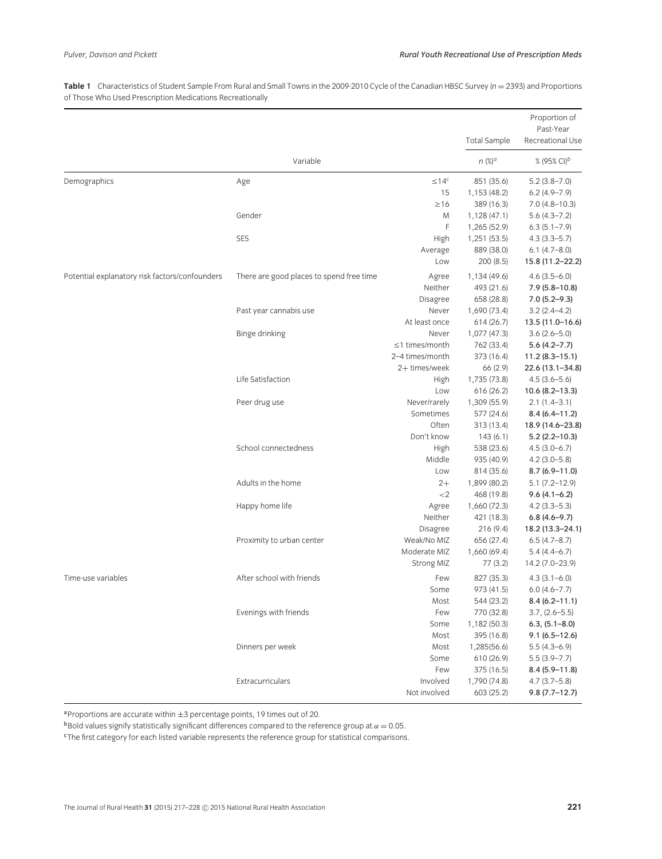Table 1 Characteristics of Student Sample From Rural and Small Towns in the 2009-2010 Cycle of the Canadian HBSC Survey (*n* = 2393) and Proportions of Those Who Used Prescription Medications Recreationally

|                                                |                                          |                        | <b>Total Sample</b> | Proportion of<br>Past-Year<br>Recreational Use |
|------------------------------------------------|------------------------------------------|------------------------|---------------------|------------------------------------------------|
|                                                | Variable                                 |                        | $n (%)^a$           | % (95% CI) <sup>b</sup>                        |
| Demographics                                   | Age                                      | $\leq$ 14 <sup>c</sup> | 851 (35.6)          | $5.2(3.8 - 7.0)$                               |
|                                                |                                          | 15                     | 1,153 (48.2)        | $6.2(4.9 - 7.9)$                               |
|                                                |                                          | $\geq$ 16              | 389 (16.3)          | $7.0(4.8 - 10.3)$                              |
|                                                | Gender                                   | M                      | 1,128 (47.1)        | $5.6(4.3 - 7.2)$                               |
|                                                |                                          | F                      | 1,265 (52.9)        | $6.3(5.1 - 7.9)$                               |
|                                                | <b>SES</b>                               | High                   | 1,251 (53.5)        | $4.3(3.3 - 5.7)$                               |
|                                                |                                          | Average                | 889 (38.0)          | $6.1 (4.7 - 8.0)$                              |
|                                                |                                          | Low                    | 200(8.5)            | 15.8 (11.2-22.2)                               |
| Potential explanatory risk factors/confounders | There are good places to spend free time | Agree                  | 1,134 (49.6)        | $4.6(3.5-6.0)$                                 |
|                                                |                                          | Neither                | 493 (21.6)          | $7.9(5.8 - 10.8)$                              |
|                                                |                                          | Disagree               | 658 (28.8)          | $7.0(5.2 - 9.3)$                               |
|                                                | Past year cannabis use                   | Never                  | 1,690 (73.4)        | $3.2(2.4 - 4.2)$                               |
|                                                |                                          | At least once          | 614 (26.7)          | $13.5(11.0-16.6)$                              |
|                                                | Binge drinking                           | Never                  | 1,077 (47.3)        | $3.6(2.6 - 5.0)$                               |
|                                                |                                          | ≤1 times/month         | 762 (33.4)          | $5.6(4.2 - 7.7)$                               |
|                                                |                                          | 2-4 times/month        | 373 (16.4)          | $11.2(8.3 - 15.1)$                             |
|                                                |                                          | 2+ times/week          | 66 (2.9)            | 22.6 (13.1-34.8)                               |
|                                                | Life Satisfaction                        | High                   | 1,735 (73.8)        | $4.5(3.6 - 5.6)$                               |
|                                                |                                          | Low                    | 616 (26.2)          | $10.6(8.2-13.3)$                               |
|                                                | Peer drug use                            | Never/rarely           | 1,309 (55.9)        | $2.1(1.4-3.1)$                                 |
|                                                |                                          | Sometimes              | 577 (24.6)          | $8.4(6.4 - 11.2)$                              |
|                                                |                                          | Often                  | 313 (13.4)          | 18.9 (14.6-23.8)                               |
|                                                |                                          | Don't know             | 143(6.1)            | $5.2(2.2 - 10.3)$                              |
|                                                | School connectedness                     | High                   | 538 (23.6)          | $4.5(3.0-6.7)$                                 |
|                                                |                                          | Middle                 | 935 (40.9)          | $4.2$ (3.0-5.8)                                |
|                                                |                                          | Low                    | 814 (35.6)          | $8.7(6.9-11.0)$                                |
|                                                | Adults in the home                       | $2+$                   | 1,899 (80.2)        | $5.1(7.2 - 12.9)$                              |
|                                                |                                          | $<$ 2                  | 468 (19.8)          | $9.6(4.1 - 6.2)$                               |
|                                                | Happy home life                          | Agree                  | 1,660 (72.3)        | $4.2$ (3.3–5.3)                                |
|                                                |                                          | Neither                | 421 (18.3)          | $6.8(4.6 - 9.7)$                               |
|                                                |                                          | Disagree               | 216(9.4)            | 18.2 (13.3-24.1)                               |
|                                                | Proximity to urban center                | Weak/No MIZ            | 656 (27.4)          | $6.5(4.7 - 8.7)$                               |
|                                                |                                          | Moderate MIZ           | 1,660 (69.4)        | $5.4(4.4-6.7)$                                 |
|                                                |                                          | Strong MIZ             | 77 (3.2)            | 14.2 (7.0-23.9)                                |
| Time-use variables                             | After school with friends                | Few                    | 827 (35.3)          | $4.3(3.1 - 6.0)$                               |
|                                                |                                          | Some                   | 973 (41.5)          | $6.0(4.6 - 7.7)$                               |
|                                                |                                          | Most                   | 544 (23.2)          | $8.4(6.2 - 11.1)$                              |
|                                                | Evenings with friends                    | Few                    | 770 (32.8)          | $3.7, (2.6 - 5.5)$                             |
|                                                |                                          | Some                   | 1,182 (50.3)        | $6.3, (5.1 - 8.0)$                             |
|                                                |                                          | Most                   | 395 (16.8)          | $9.1(6.5 - 12.6)$                              |
|                                                | Dinners per week                         | Most                   | 1,285(56.6)         | $5.5(4.3-6.9)$                                 |
|                                                |                                          | Some                   | 610 (26.9)          | $5.5(3.9 - 7.7)$                               |
|                                                |                                          | Few                    | 375 (16.5)          | $8.4(5.9-11.8)$                                |
|                                                | Extracurriculars                         | Involved               | 1,790 (74.8)        | $4.7(3.7 - 5.8)$                               |
|                                                |                                          | Not involved           | 603 (25.2)          | $9.8(7.7-12.7)$                                |

a Proportions are accurate within  $\pm 3$  percentage points, 19 times out of 20.

 $^{\text{b}}$ Bold values signify statistically significant differences compared to the reference group at  $\alpha$  = 0.05.

<sup>c</sup>The first category for each listed variable represents the reference group for statistical comparisons.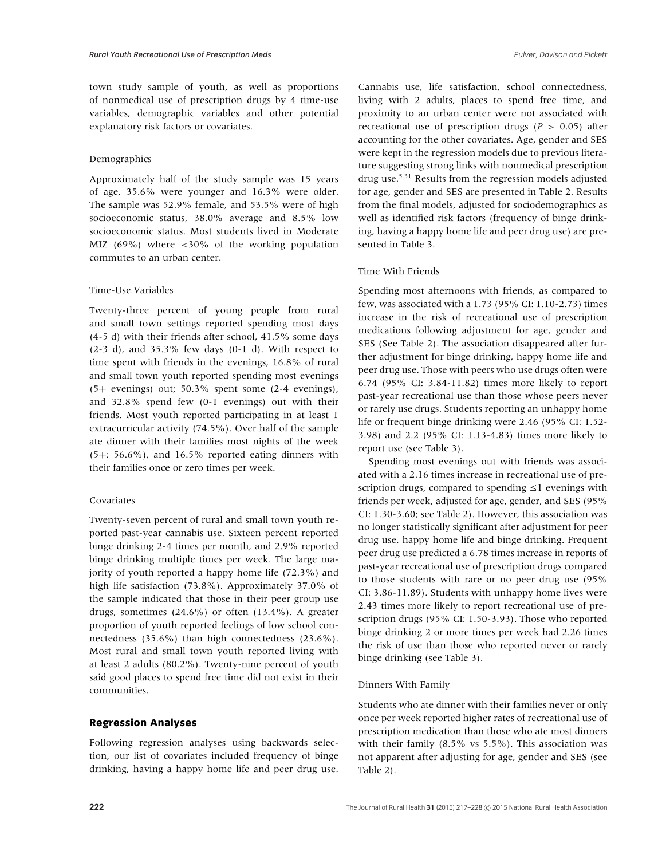town study sample of youth, as well as proportions of nonmedical use of prescription drugs by 4 time-use variables, demographic variables and other potential explanatory risk factors or covariates.

# Demographics

Approximately half of the study sample was 15 years of age, 35.6% were younger and 16.3% were older. The sample was 52.9% female, and 53.5% were of high socioeconomic status, 38.0% average and 8.5% low socioeconomic status. Most students lived in Moderate MIZ (69%) where *<*30% of the working population commutes to an urban center.

# Time-Use Variables

Twenty-three percent of young people from rural and small town settings reported spending most days (4-5 d) with their friends after school, 41.5% some days  $(2-3 d)$ , and  $35.3\%$  few days  $(0-1 d)$ . With respect to time spent with friends in the evenings, 16.8% of rural and small town youth reported spending most evenings (5+ evenings) out; 50.3% spent some (2-4 evenings), and 32.8% spend few (0-1 evenings) out with their friends. Most youth reported participating in at least 1 extracurricular activity (74.5%). Over half of the sample ate dinner with their families most nights of the week (5+; 56.6%), and 16.5% reported eating dinners with their families once or zero times per week.

#### Covariates

Twenty-seven percent of rural and small town youth reported past-year cannabis use. Sixteen percent reported binge drinking 2-4 times per month, and 2.9% reported binge drinking multiple times per week. The large majority of youth reported a happy home life (72.3%) and high life satisfaction (73.8%). Approximately 37.0% of the sample indicated that those in their peer group use drugs, sometimes (24.6%) or often (13.4%). A greater proportion of youth reported feelings of low school connectedness (35.6%) than high connectedness (23.6%). Most rural and small town youth reported living with at least 2 adults (80.2%). Twenty-nine percent of youth said good places to spend free time did not exist in their communities.

# **Regression Analyses**

Following regression analyses using backwards selection, our list of covariates included frequency of binge drinking, having a happy home life and peer drug use.

Cannabis use, life satisfaction, school connectedness, living with 2 adults, places to spend free time, and proximity to an urban center were not associated with recreational use of prescription drugs ( $P > 0.05$ ) after accounting for the other covariates. Age, gender and SES were kept in the regression models due to previous literature suggesting strong links with nonmedical prescription drug use.5,31 Results from the regression models adjusted for age, gender and SES are presented in Table 2. Results from the final models, adjusted for sociodemographics as well as identified risk factors (frequency of binge drinking, having a happy home life and peer drug use) are presented in Table 3.

#### Time With Friends

Spending most afternoons with friends, as compared to few, was associated with a 1.73 (95% CI: 1.10-2.73) times increase in the risk of recreational use of prescription medications following adjustment for age, gender and SES (See Table 2). The association disappeared after further adjustment for binge drinking, happy home life and peer drug use. Those with peers who use drugs often were 6.74 (95% CI: 3.84-11.82) times more likely to report past-year recreational use than those whose peers never or rarely use drugs. Students reporting an unhappy home life or frequent binge drinking were 2.46 (95% CI: 1.52- 3.98) and 2.2 (95% CI: 1.13-4.83) times more likely to report use (see Table 3).

Spending most evenings out with friends was associated with a 2.16 times increase in recreational use of prescription drugs, compared to spending  $\leq 1$  evenings with friends per week, adjusted for age, gender, and SES (95% CI: 1.30-3.60; see Table 2). However, this association was no longer statistically significant after adjustment for peer drug use, happy home life and binge drinking. Frequent peer drug use predicted a 6.78 times increase in reports of past-year recreational use of prescription drugs compared to those students with rare or no peer drug use (95% CI: 3.86-11.89). Students with unhappy home lives were 2.43 times more likely to report recreational use of prescription drugs (95% CI: 1.50-3.93). Those who reported binge drinking 2 or more times per week had 2.26 times the risk of use than those who reported never or rarely binge drinking (see Table 3).

#### Dinners With Family

Students who ate dinner with their families never or only once per week reported higher rates of recreational use of prescription medication than those who ate most dinners with their family (8.5% vs 5.5%). This association was not apparent after adjusting for age, gender and SES (see Table 2).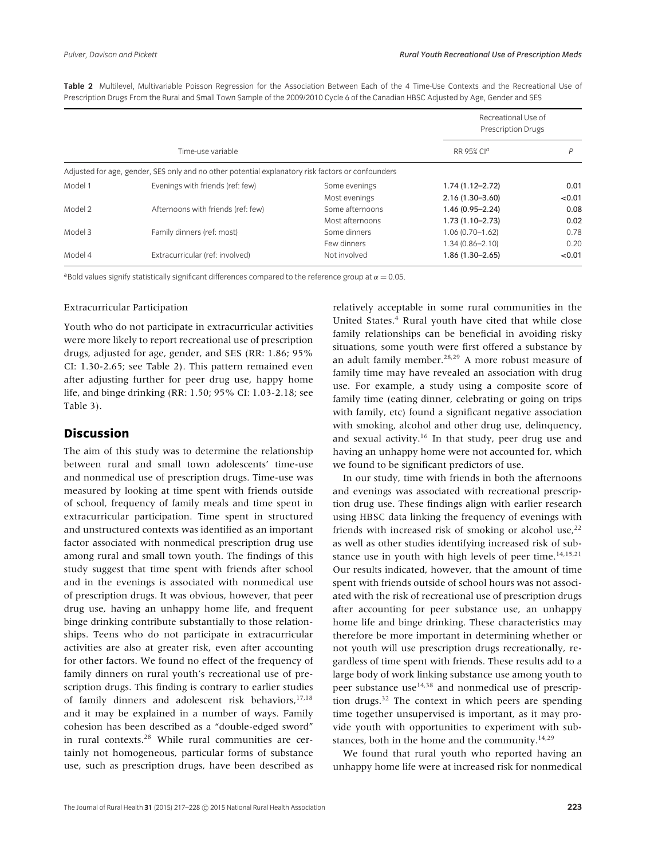|         |                                                                                                   |                 | Recreational Use of<br><b>Prescription Drugs</b> |        |
|---------|---------------------------------------------------------------------------------------------------|-----------------|--------------------------------------------------|--------|
|         | Time-use variable                                                                                 |                 | RR 95% Cl <sup>a</sup>                           |        |
|         | Adjusted for age, gender, SES only and no other potential explanatory risk factors or confounders |                 |                                                  |        |
| Model 1 | Evenings with friends (ref: few)                                                                  | Some evenings   | $1.74(1.12 - 2.72)$                              | 0.01   |
|         |                                                                                                   | Most evenings   | $2.16(1.30 - 3.60)$                              | < 0.01 |
| Model 2 | Afternoons with friends (ref: few)                                                                | Some afternoons | 1.46 (0.95-2.24)                                 | 0.08   |
|         |                                                                                                   | Most afternoons | $1.73(1.10 - 2.73)$                              | 0.02   |
| Model 3 | Family dinners (ref: most)                                                                        | Some dinners    | 1.06 (0.70-1.62)                                 | 0.78   |
|         |                                                                                                   | Few dinners     | $1.34(0.86 - 2.10)$                              | 0.20   |
| Model 4 | Extracurricular (ref: involved)                                                                   | Not involved    | $1.86(1.30 - 2.65)$                              | < 0.01 |

**Table 2** Multilevel, Multivariable Poisson Regression for the Association Between Each of the 4 Time-Use Contexts and the Recreational Use of Prescription Drugs From the Rural and Small Town Sample of the 2009/2010 Cycle 6 of the Canadian HBSC Adjusted by Age, Gender and SES

aBold values signify statistically significant differences compared to the reference group at  $\alpha = 0.05$ .

#### Extracurricular Participation

Youth who do not participate in extracurricular activities were more likely to report recreational use of prescription drugs, adjusted for age, gender, and SES (RR: 1.86; 95% CI: 1.30-2.65; see Table 2). This pattern remained even after adjusting further for peer drug use, happy home life, and binge drinking (RR: 1.50; 95% CI: 1.03-2.18; see Table 3).

# **Discussion**

The aim of this study was to determine the relationship between rural and small town adolescents' time-use and nonmedical use of prescription drugs. Time-use was measured by looking at time spent with friends outside of school, frequency of family meals and time spent in extracurricular participation. Time spent in structured and unstructured contexts was identified as an important factor associated with nonmedical prescription drug use among rural and small town youth. The findings of this study suggest that time spent with friends after school and in the evenings is associated with nonmedical use of prescription drugs. It was obvious, however, that peer drug use, having an unhappy home life, and frequent binge drinking contribute substantially to those relationships. Teens who do not participate in extracurricular activities are also at greater risk, even after accounting for other factors. We found no effect of the frequency of family dinners on rural youth's recreational use of prescription drugs. This finding is contrary to earlier studies of family dinners and adolescent risk behaviors, 17,18 and it may be explained in a number of ways. Family cohesion has been described as a "double-edged sword" in rural contexts.<sup>28</sup> While rural communities are certainly not homogeneous, particular forms of substance use, such as prescription drugs, have been described as relatively acceptable in some rural communities in the United States. $4$  Rural youth have cited that while close family relationships can be beneficial in avoiding risky situations, some youth were first offered a substance by an adult family member.<sup>28,29</sup> A more robust measure of family time may have revealed an association with drug use. For example, a study using a composite score of family time (eating dinner, celebrating or going on trips with family, etc) found a significant negative association with smoking, alcohol and other drug use, delinquency, and sexual activity.<sup>16</sup> In that study, peer drug use and having an unhappy home were not accounted for, which we found to be significant predictors of use.

In our study, time with friends in both the afternoons and evenings was associated with recreational prescription drug use. These findings align with earlier research using HBSC data linking the frequency of evenings with friends with increased risk of smoking or alcohol use, $^{22}$ as well as other studies identifying increased risk of substance use in youth with high levels of peer time.<sup>14,15,21</sup> Our results indicated, however, that the amount of time spent with friends outside of school hours was not associated with the risk of recreational use of prescription drugs after accounting for peer substance use, an unhappy home life and binge drinking. These characteristics may therefore be more important in determining whether or not youth will use prescription drugs recreationally, regardless of time spent with friends. These results add to a large body of work linking substance use among youth to peer substance use<sup>14,38</sup> and nonmedical use of prescription drugs. $32$  The context in which peers are spending time together unsupervised is important, as it may provide youth with opportunities to experiment with substances, both in the home and the community. $14,29$ 

We found that rural youth who reported having an unhappy home life were at increased risk for nonmedical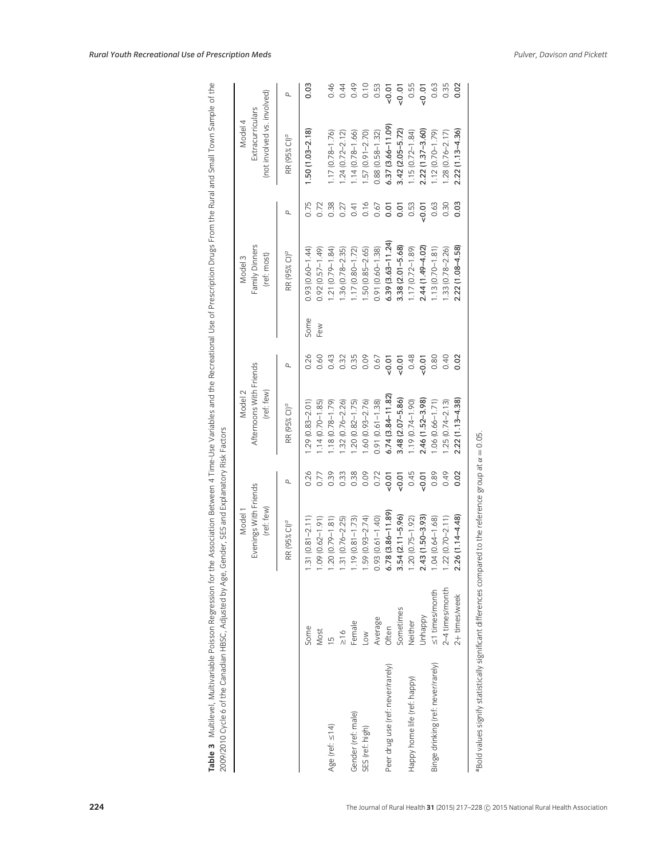| Table 3 Multilevel, Multivariable Poisson Regression for the Association Between 4 Time-Use Variables and the Recreational Use of Prescription Drugs From the Rural and Small Town Sample of the<br>2009/2010 Cycle 6 of the Canadian HBSC, Adjusted by Age, Gender, SES and Explanatory Risk Factors |                 |                                                |         |                                                             |         |      |                                          |         |                                                            |         |
|-------------------------------------------------------------------------------------------------------------------------------------------------------------------------------------------------------------------------------------------------------------------------------------------------------|-----------------|------------------------------------------------|---------|-------------------------------------------------------------|---------|------|------------------------------------------|---------|------------------------------------------------------------|---------|
|                                                                                                                                                                                                                                                                                                       |                 | Evenings With Friends<br>(ref: few)<br>Model 1 |         | Afternoons With Friends<br>Model <sub>2</sub><br>(ref: few) |         |      | Family Dinners<br>(ref: most)<br>Model 3 |         | (not involved vs. involved)<br>Extracurriculars<br>Model 4 |         |
|                                                                                                                                                                                                                                                                                                       |                 | RR (95% CI) <sup>0</sup>                       | σ       | RR (95% CI) <sup>a</sup>                                    |         |      | RR (95% CI) <sup>0</sup>                 | Q       | RR (95% CI) <sup>a</sup>                                   | Q,      |
|                                                                                                                                                                                                                                                                                                       | Some            | $1.31$ $(0.81 - 2.11)$                         | 0.26    | $.29(0.83 - 2.01)$                                          | 0.26    | Some | $0.93(0.60 - 1.44)$                      | 0.75    | $1.50(1.03 - 2.18)$                                        | 0.03    |
|                                                                                                                                                                                                                                                                                                       | Most            | $1.09(0.62 - 1.91)$                            | 0.77    | $1.14(0.70 - 1.85)$                                         | 0.60    | Few  | $0.92(0.57 - 1.49)$                      | 0.72    |                                                            |         |
| Age (ref: $\leq$ 14)                                                                                                                                                                                                                                                                                  | $\overline{5}$  | $1.20(0.79 - 1.81)$                            | 0.39    | $.18(0.78 - 1.79)$                                          | 0.43    |      | $1.21(0.79 - 1.84)$                      | 0.38    | $.17(0.78 - 1.76)$                                         | 0.46    |
|                                                                                                                                                                                                                                                                                                       | $\geq 16$       | $1.31 (0.76 - 2.25)$                           | 0.33    | $.32(0.76 - 2.26)$                                          | 0.32    |      | $.36(0.78 - 2.35)$                       | 0.27    | $.24(0.72 - 2.12)$                                         | 0.44    |
| Gender (ref: male)                                                                                                                                                                                                                                                                                    | Female          | $1.19(0.81 - 1.73)$                            | 0.38    | $.20(0.82 - 1.75)$                                          | 0.35    |      | $1.17(0.80 - 1.72)$                      | 0.41    | $.14(0.78 - 1.66)$                                         | 0.49    |
| SES (ref: high)                                                                                                                                                                                                                                                                                       | Low             | $1.59(0.93 - 2.74)$                            | 0.09    | $.60(0.93 - 2.76)$                                          | 0.09    |      | $.50(0.85 - 2.65)$                       | 0.16    | $.57(0.91 - 2.70)$                                         | 0.10    |
|                                                                                                                                                                                                                                                                                                       | Average         | $0.93(0.61 - 1.40)$                            | 0.72    | $0.91(0.61 - 1.38)$                                         | 0.67    |      | $0.91(0.60 - 1.38)$                      | 0.67    | $0.88(0.58 - 1.32)$                                        | 0.53    |
| Peer drug use (ref: never/rarely)                                                                                                                                                                                                                                                                     | Often           | $6.78(3.86 - 11.89)$                           | $-0.01$ | $6.74$ $(3.84 - 11.82)$                                     | $-0.01$ |      | $6.39(3.63 - 11.24)$                     | ō.o     | $6.37(3.66 - 11.09)$                                       | 0.01    |
|                                                                                                                                                                                                                                                                                                       | Sometimes       | $3.54(2.11 - 5.96)$                            | $-0.01$ | 3.48 (2.07-5.86)                                            | 0.01    |      | $3.38(2.01 - 5.68)$                      | ō.o     | $.42(2.05 - 5.72)$                                         | $-0.01$ |
| Happy home life (ref: happy)                                                                                                                                                                                                                                                                          | Neither         | $1.20(0.75 - 1.92)$                            | 0.45    | $19(0.74 - 1.90)$                                           | 0.48    |      | $1.17(0.72 - 1.89)$                      | 0.53    | $.15(0.72 - 1.84)$                                         | 0.55    |
|                                                                                                                                                                                                                                                                                                       | Vqqemu          | $2.43(1.50 - 3.93)$                            | 0.01    | 2.46 (1.52-3.98)                                            | 0.01    |      | 2.44 (1.49-4.02)                         | $-0.01$ | $2.22(1.37 - 3.60)$                                        | $-0.01$ |
| Binge drinking (ref: never/rarely)                                                                                                                                                                                                                                                                    | ≤1 times/month  | $1.04(0.64 - 1.68)$                            | 0.89    | $.06(0.66 - 1.71)$                                          | 0.80    |      | $1.13(0.70 - 1.81)$                      | 0.63    | $.12(0.70 - 1.79)$                                         | 0.63    |
|                                                                                                                                                                                                                                                                                                       | 2-4 times/month | $1.22$ (0.70-2.11)                             | 0.49    | $.25(0.74 - 2.13)$                                          | 0.40    |      | $1.33(0.78 - 2.26)$                      | 0.30    | $.28(0.76 - 2.17)$                                         | 0.35    |
|                                                                                                                                                                                                                                                                                                       | 2+ times/week   | $2.26(1.14 - 4.48)$                            | 0.02    | $2.22(1.13 - 4.38)$                                         | 0.02    |      | $2.22(1.08 - 4.58)$                      | 0.03    | $2.22(1.13 - 4.36)$                                        | 0.02    |
|                                                                                                                                                                                                                                                                                                       |                 |                                                |         |                                                             |         |      |                                          |         |                                                            |         |

| ¢<br>ś<br>ļ<br>¢<br>Ì<br>ׇׇ֓֡<br>Ó<br>ׇ֓֕֜<br>I<br>Í<br>֠<br>i<br>t<br>یا<br>ײַ             | ۱<br>Ó<br>֕<br>ć                                                                      |
|---------------------------------------------------------------------------------------------|---------------------------------------------------------------------------------------|
| l<br>¢<br>ì<br>i<br>Ì<br>i<br>١<br>i<br>١<br>Ì<br>₫<br>Ó<br>)<br>ă<br>j<br>Е<br>İ<br>$\geq$ | Ī<br>$\frac{1}{2}$<br>נ<br>.<br>.<br>č<br>$\frac{1}{2}$<br>i<br>j<br>)<br>)<br>ļ<br>֠ |
| ļ<br>į<br>Ĺ<br>ļ<br>ţ<br>$\overline{\phantom{a}}$<br>i<br>ı<br>¢<br>֚֘֝<br>i                | d<br>ı                                                                                |
| 1                                                                                           |                                                                                       |

a<br>Bold values signify statistically significant differences compared to the reference group at<br>  $\alpha=0.05$  . <code>Bold values</code> signify statistically significant differences compared to the reference group at  $\alpha=0.05$ .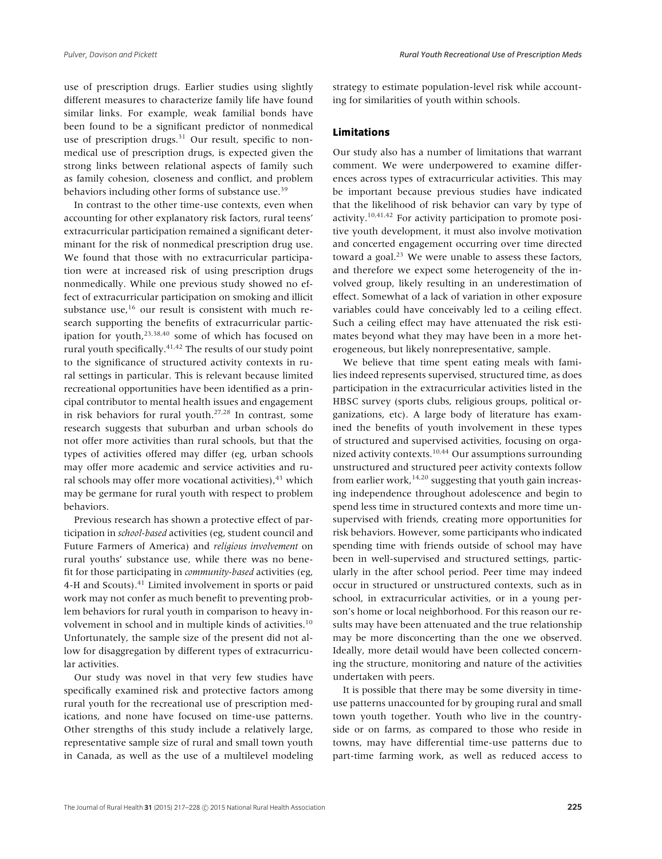use of prescription drugs. Earlier studies using slightly different measures to characterize family life have found similar links. For example, weak familial bonds have been found to be a significant predictor of nonmedical use of prescription drugs. $31$  Our result, specific to nonmedical use of prescription drugs, is expected given the strong links between relational aspects of family such as family cohesion, closeness and conflict, and problem behaviors including other forms of substance use.<sup>39</sup>

In contrast to the other time-use contexts, even when accounting for other explanatory risk factors, rural teens' extracurricular participation remained a significant determinant for the risk of nonmedical prescription drug use. We found that those with no extracurricular participation were at increased risk of using prescription drugs nonmedically. While one previous study showed no effect of extracurricular participation on smoking and illicit substance use, $16$  our result is consistent with much research supporting the benefits of extracurricular participation for youth, $2^{3,38,40}$  some of which has focused on rural youth specifically.<sup>41,42</sup> The results of our study point to the significance of structured activity contexts in rural settings in particular. This is relevant because limited recreational opportunities have been identified as a principal contributor to mental health issues and engagement in risk behaviors for rural youth. $27,28$  In contrast, some research suggests that suburban and urban schools do not offer more activities than rural schools, but that the types of activities offered may differ (eg, urban schools may offer more academic and service activities and rural schools may offer more vocational activities), $43$  which may be germane for rural youth with respect to problem behaviors.

Previous research has shown a protective effect of participation in *school-based* activities (eg, student council and Future Farmers of America) and *religious involvement* on rural youths' substance use, while there was no benefit for those participating in *community-based* activities (eg, 4-H and Scouts).<sup>41</sup> Limited involvement in sports or paid work may not confer as much benefit to preventing problem behaviors for rural youth in comparison to heavy involvement in school and in multiple kinds of activities.10 Unfortunately, the sample size of the present did not allow for disaggregation by different types of extracurricular activities.

Our study was novel in that very few studies have specifically examined risk and protective factors among rural youth for the recreational use of prescription medications, and none have focused on time-use patterns. Other strengths of this study include a relatively large, representative sample size of rural and small town youth in Canada, as well as the use of a multilevel modeling strategy to estimate population-level risk while accounting for similarities of youth within schools.

# **Limitations**

Our study also has a number of limitations that warrant comment. We were underpowered to examine differences across types of extracurricular activities. This may be important because previous studies have indicated that the likelihood of risk behavior can vary by type of activity.<sup>10,41,42</sup> For activity participation to promote positive youth development, it must also involve motivation and concerted engagement occurring over time directed toward a goal. $23$  We were unable to assess these factors, and therefore we expect some heterogeneity of the involved group, likely resulting in an underestimation of effect. Somewhat of a lack of variation in other exposure variables could have conceivably led to a ceiling effect. Such a ceiling effect may have attenuated the risk estimates beyond what they may have been in a more heterogeneous, but likely nonrepresentative, sample.

We believe that time spent eating meals with families indeed represents supervised, structured time, as does participation in the extracurricular activities listed in the HBSC survey (sports clubs, religious groups, political organizations, etc). A large body of literature has examined the benefits of youth involvement in these types of structured and supervised activities, focusing on organized activity contexts.<sup>10,44</sup> Our assumptions surrounding unstructured and structured peer activity contexts follow from earlier work,  $14,20$  suggesting that youth gain increasing independence throughout adolescence and begin to spend less time in structured contexts and more time unsupervised with friends, creating more opportunities for risk behaviors. However, some participants who indicated spending time with friends outside of school may have been in well-supervised and structured settings, particularly in the after school period. Peer time may indeed occur in structured or unstructured contexts, such as in school, in extracurricular activities, or in a young person's home or local neighborhood. For this reason our results may have been attenuated and the true relationship may be more disconcerting than the one we observed. Ideally, more detail would have been collected concerning the structure, monitoring and nature of the activities undertaken with peers.

It is possible that there may be some diversity in timeuse patterns unaccounted for by grouping rural and small town youth together. Youth who live in the countryside or on farms, as compared to those who reside in towns, may have differential time-use patterns due to part-time farming work, as well as reduced access to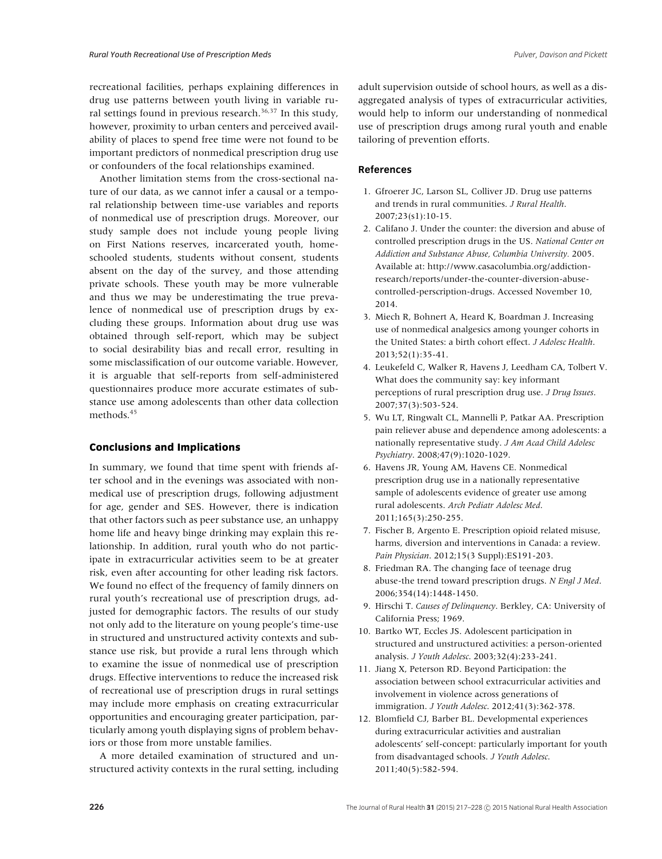recreational facilities, perhaps explaining differences in drug use patterns between youth living in variable rural settings found in previous research.<sup>36,37</sup> In this study, however, proximity to urban centers and perceived availability of places to spend free time were not found to be important predictors of nonmedical prescription drug use or confounders of the focal relationships examined.

Another limitation stems from the cross-sectional nature of our data, as we cannot infer a causal or a temporal relationship between time-use variables and reports of nonmedical use of prescription drugs. Moreover, our study sample does not include young people living on First Nations reserves, incarcerated youth, homeschooled students, students without consent, students absent on the day of the survey, and those attending private schools. These youth may be more vulnerable and thus we may be underestimating the true prevalence of nonmedical use of prescription drugs by excluding these groups. Information about drug use was obtained through self-report, which may be subject to social desirability bias and recall error, resulting in some misclassification of our outcome variable. However, it is arguable that self-reports from self-administered questionnaires produce more accurate estimates of substance use among adolescents than other data collection methods.<sup>45</sup>

# **Conclusions and Implications**

In summary, we found that time spent with friends after school and in the evenings was associated with nonmedical use of prescription drugs, following adjustment for age, gender and SES. However, there is indication that other factors such as peer substance use, an unhappy home life and heavy binge drinking may explain this relationship. In addition, rural youth who do not participate in extracurricular activities seem to be at greater risk, even after accounting for other leading risk factors. We found no effect of the frequency of family dinners on rural youth's recreational use of prescription drugs, adjusted for demographic factors. The results of our study not only add to the literature on young people's time-use in structured and unstructured activity contexts and substance use risk, but provide a rural lens through which to examine the issue of nonmedical use of prescription drugs. Effective interventions to reduce the increased risk of recreational use of prescription drugs in rural settings may include more emphasis on creating extracurricular opportunities and encouraging greater participation, particularly among youth displaying signs of problem behaviors or those from more unstable families.

A more detailed examination of structured and unstructured activity contexts in the rural setting, including adult supervision outside of school hours, as well as a disaggregated analysis of types of extracurricular activities, would help to inform our understanding of nonmedical use of prescription drugs among rural youth and enable tailoring of prevention efforts.

### **References**

- 1. Gfroerer JC, Larson SL, Colliver JD. Drug use patterns and trends in rural communities. *J Rural Health*. 2007;23(s1):10-15.
- 2. Califano J. Under the counter: the diversion and abuse of controlled prescription drugs in the US. *National Center on Addiction and Substance Abuse, Columbia University.* 2005. Available at: http://www.casacolumbia.org/addictionresearch/reports/under-the-counter-diversion-abusecontrolled-perscription-drugs. Accessed November 10, 2014.
- 3. Miech R, Bohnert A, Heard K, Boardman J. Increasing use of nonmedical analgesics among younger cohorts in the United States: a birth cohort effect. *J Adolesc Health*. 2013;52(1):35-41.
- 4. Leukefeld C, Walker R, Havens J, Leedham CA, Tolbert V. What does the community say: key informant perceptions of rural prescription drug use. *J Drug Issues*. 2007;37(3):503-524.
- 5. Wu LT, Ringwalt CL, Mannelli P, Patkar AA. Prescription pain reliever abuse and dependence among adolescents: a nationally representative study. *J Am Acad Child Adolesc Psychiatry*. 2008;47(9):1020-1029.
- 6. Havens JR, Young AM, Havens CE. Nonmedical prescription drug use in a nationally representative sample of adolescents evidence of greater use among rural adolescents. *Arch Pediatr Adolesc Med*. 2011;165(3):250-255.
- 7. Fischer B, Argento E. Prescription opioid related misuse, harms, diversion and interventions in Canada: a review. *Pain Physician*. 2012;15(3 Suppl):ES191-203.
- 8. Friedman RA. The changing face of teenage drug abuse-the trend toward prescription drugs. *N Engl J Med*. 2006;354(14):1448-1450.
- 9. Hirschi T. *Causes of Delinquency*. Berkley, CA: University of California Press; 1969.
- 10. Bartko WT, Eccles JS. Adolescent participation in structured and unstructured activities: a person-oriented analysis. *J Youth Adolesc*. 2003;32(4):233-241.
- 11. Jiang X, Peterson RD. Beyond Participation: the association between school extracurricular activities and involvement in violence across generations of immigration. *J Youth Adolesc*. 2012;41(3):362-378.
- 12. Blomfield CJ, Barber BL. Developmental experiences during extracurricular activities and australian adolescents' self-concept: particularly important for youth from disadvantaged schools. *J Youth Adolesc*. 2011;40(5):582-594.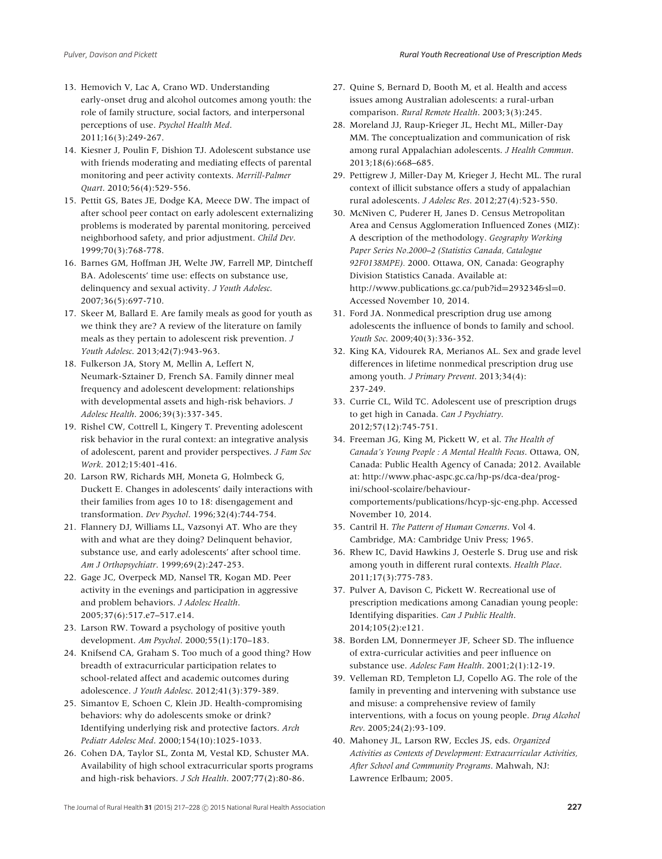- 13. Hemovich V, Lac A, Crano WD. Understanding early-onset drug and alcohol outcomes among youth: the role of family structure, social factors, and interpersonal perceptions of use. *Psychol Health Med*. 2011;16(3):249-267.
- 14. Kiesner J, Poulin F, Dishion TJ. Adolescent substance use with friends moderating and mediating effects of parental monitoring and peer activity contexts. *Merrill-Palmer Quart*. 2010;56(4):529-556.
- 15. Pettit GS, Bates JE, Dodge KA, Meece DW. The impact of after school peer contact on early adolescent externalizing problems is moderated by parental monitoring, perceived neighborhood safety, and prior adjustment. *Child Dev*. 1999;70(3):768-778.
- 16. Barnes GM, Hoffman JH, Welte JW, Farrell MP, Dintcheff BA. Adolescents' time use: effects on substance use, delinquency and sexual activity. *J Youth Adolesc*. 2007;36(5):697-710.
- 17. Skeer M, Ballard E. Are family meals as good for youth as we think they are? A review of the literature on family meals as they pertain to adolescent risk prevention. *J Youth Adolesc*. 2013;42(7):943-963.
- 18. Fulkerson JA, Story M, Mellin A, Leffert N, Neumark-Sztainer D, French SA. Family dinner meal frequency and adolescent development: relationships with developmental assets and high-risk behaviors. *J Adolesc Health*. 2006;39(3):337-345.
- 19. Rishel CW, Cottrell L, Kingery T. Preventing adolescent risk behavior in the rural context: an integrative analysis of adolescent, parent and provider perspectives. *J Fam Soc Work*. 2012;15:401-416.
- 20. Larson RW, Richards MH, Moneta G, Holmbeck G, Duckett E. Changes in adolescents' daily interactions with their families from ages 10 to 18: disengagement and transformation. *Dev Psychol*. 1996;32(4):744-754.
- 21. Flannery DJ, Williams LL, Vazsonyi AT. Who are they with and what are they doing? Delinquent behavior, substance use, and early adolescents' after school time. *Am J Orthopsychiatr*. 1999;69(2):247-253.
- 22. Gage JC, Overpeck MD, Nansel TR, Kogan MD. Peer activity in the evenings and participation in aggressive and problem behaviors. *J Adolesc Health*. 2005;37(6):517.e7–517.e14.
- 23. Larson RW. Toward a psychology of positive youth development. *Am Psychol*. 2000;55(1):170–183.
- 24. Knifsend CA, Graham S. Too much of a good thing? How breadth of extracurricular participation relates to school-related affect and academic outcomes during adolescence. *J Youth Adolesc*. 2012;41(3):379-389.
- 25. Simantov E, Schoen C, Klein JD. Health-compromising behaviors: why do adolescents smoke or drink? Identifying underlying risk and protective factors. *Arch Pediatr Adolesc Med*. 2000;154(10):1025-1033.
- 26. Cohen DA, Taylor SL, Zonta M, Vestal KD, Schuster MA. Availability of high school extracurricular sports programs and high-risk behaviors. *J Sch Health*. 2007;77(2):80-86.
- 27. Quine S, Bernard D, Booth M, et al. Health and access issues among Australian adolescents: a rural-urban comparison. *Rural Remote Health*. 2003;3(3):245.
- 28. Moreland JJ, Raup-Krieger JL, Hecht ML, Miller-Day MM. The conceptualization and communication of risk among rural Appalachian adolescents. *J Health Commun*. 2013;18(6):668–685.
- 29. Pettigrew J, Miller-Day M, Krieger J, Hecht ML. The rural context of illicit substance offers a study of appalachian rural adolescents. *J Adolesc Res*. 2012;27(4):523-550.
- 30. McNiven C, Puderer H, Janes D. Census Metropolitan Area and Census Agglomeration Influenced Zones (MIZ): A description of the methodology. *Geography Working Paper Series No.2000–2 (Statistics Canada, Catalogue 92F0138MPE).* 2000. Ottawa, ON, Canada: Geography Division Statistics Canada. Available at: http://www.publications.gc.ca/pub?id=293234&sl=0. Accessed November 10, 2014.
- 31. Ford JA. Nonmedical prescription drug use among adolescents the influence of bonds to family and school. *Youth Soc*. 2009;40(3):336-352.
- 32. King KA, Vidourek RA, Merianos AL. Sex and grade level differences in lifetime nonmedical prescription drug use among youth. *J Primary Prevent*. 2013;34(4): 237-249.
- 33. Currie CL, Wild TC. Adolescent use of prescription drugs to get high in Canada. *Can J Psychiatry*. 2012;57(12):745-751.
- 34. Freeman JG, King M, Pickett W, et al. *The Health of Canada's Young People : A Mental Health Focus*. Ottawa, ON, Canada: Public Health Agency of Canada; 2012. Available at: http://www.phac-aspc.gc.ca/hp-ps/dca-dea/progini/school-scolaire/behaviourcomportements/publications/hcyp-sjc-eng.php. Accessed November 10, 2014.
- 35. Cantril H. *The Pattern of Human Concerns*. Vol 4. Cambridge, MA: Cambridge Univ Press; 1965.
- 36. Rhew IC, David Hawkins J, Oesterle S. Drug use and risk among youth in different rural contexts. *Health Place*. 2011;17(3):775-783.
- 37. Pulver A, Davison C, Pickett W. Recreational use of prescription medications among Canadian young people: Identifying disparities. *Can J Public Health*. 2014;105(2):e121.
- 38. Borden LM, Donnermeyer JF, Scheer SD. The influence of extra-curricular activities and peer influence on substance use. *Adolesc Fam Health*. 2001;2(1):12-19.
- 39. Velleman RD, Templeton LJ, Copello AG. The role of the family in preventing and intervening with substance use and misuse: a comprehensive review of family interventions, with a focus on young people. *Drug Alcohol Rev*. 2005;24(2):93-109.
- 40. Mahoney JL, Larson RW, Eccles JS, eds. *Organized Activities as Contexts of Development: Extracurricular Activities, After School and Community Programs*. Mahwah, NJ: Lawrence Erlbaum; 2005.